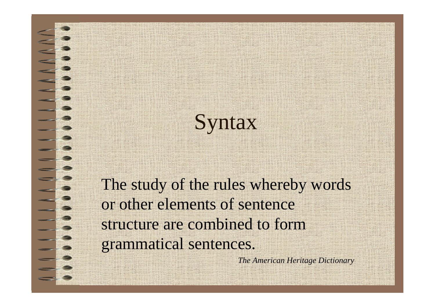### Syntax

The study of the rules whereby words or other elements of sentence structure are combined to form grammatical sentences.

*The American Heritage Dictionary*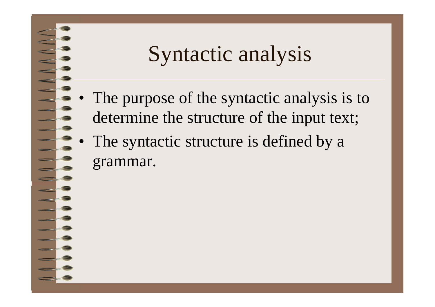#### Syntactic analysis

- • The purpose of the syntactic analysis is to determine the structure of the input text;
- • The syntactic structure is defined by a grammar.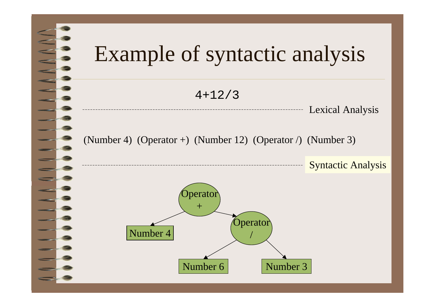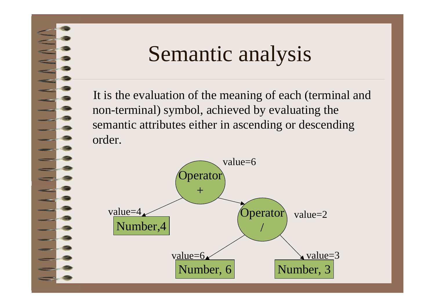#### Semantic analysis

It is the evaluation of the meaning of each (terminal and non-terminal) symbol, achieved by evaluating the semantic attributes either in ascending or descending order.

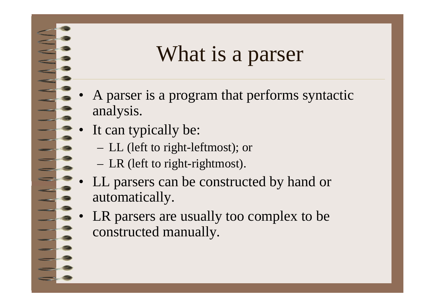#### What is a parser

- A parser is a program that performs syntactic analysis.
- •It can typically be:

•

- LL (left to right-leftmost); or
- LR (left to right-rightmost).
- • LL parsers can be constructed by hand or automatically.
- • LR parsers are usually too complex to be constructed manually.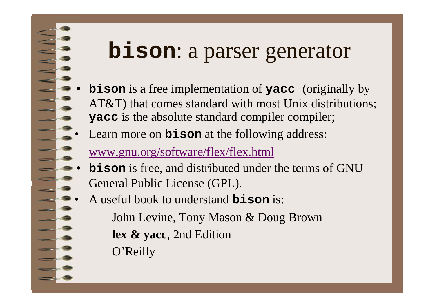#### **bison**: a parser generator

- • **bison** is a free implementation of **yacc** (originally by AT&T) that comes standard with most Unix distributions; **yacc** is the absolute standard compiler compiler;
- Learn more on **bison** at the following address:

#### www.gnu.org/software/flex/flex.html

- • **bison** is free, and distributed under the terms of GNU General Public License (GPL).
- • A useful book to understand **bison** is:
	- John Levine, Tony Mason & Doug Brown **lex & yacc**, 2nd Edition
	- O'Reilly

•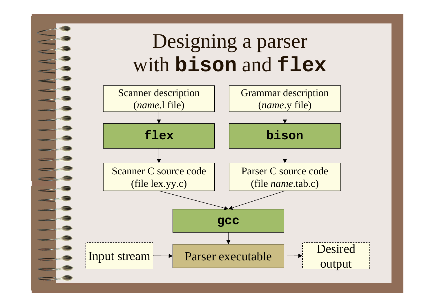#### Designing a parser with **bison** and **flex**

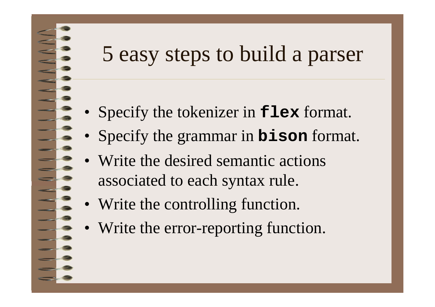#### 5 easy steps to build a parser

- •Specify the tokenizer in **flex** format.
- Specify the grammar in **bison** format.
- Write the desired semantic actions associated to each syntax rule.
- Write the controlling function.
- Write the error-reporting function.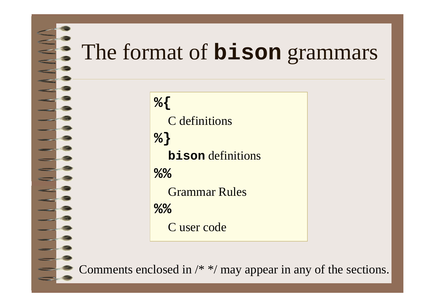# The format of **bison** grammars

**%{** C definitions **%} bison** definitions **%%**Grammar Rules**%%**C user code

Comments enclosed in /\* \*/ may appear in any of the sections.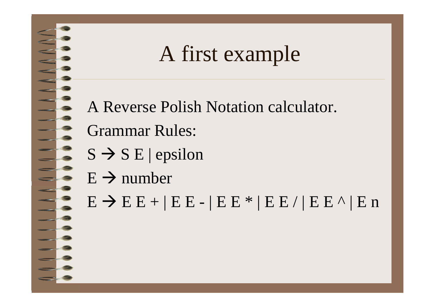#### A first example

A Reverse Polish Notation calculator. Grammar Rules:

- $S \to S E$  | epsilon
- $E \rightarrow$  number

 $E \to E E + | E E - | E E E^* | E E / | E E E^* | E$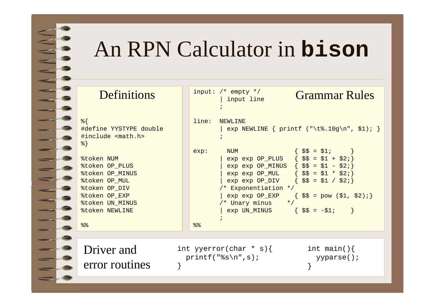#### An RPN Calculator in **bison**

| Definitions                                                                                                                                                   |       | input: $/*$ empty $*/$<br>input line                                                                                                                                                                                                                                                                                                                                                                                                                                                                                                                      | <b>Grammar Rules</b>                                                                                  |
|---------------------------------------------------------------------------------------------------------------------------------------------------------------|-------|-----------------------------------------------------------------------------------------------------------------------------------------------------------------------------------------------------------------------------------------------------------------------------------------------------------------------------------------------------------------------------------------------------------------------------------------------------------------------------------------------------------------------------------------------------------|-------------------------------------------------------------------------------------------------------|
| १ १<br>#define YYSTYPE double<br>#include <math.h><br/>응 }</math.h>                                                                                           | line: | NEWLINE                                                                                                                                                                                                                                                                                                                                                                                                                                                                                                                                                   | exp NEWLINE { printf $(\sqrt[k]{t^2, 10g\cdot n}, \xi_1);$                                            |
| <b>&amp;token NUM</b><br>%token OP_PLUS<br>%token OP_MINUS<br>%token OP_MUL<br>%token OP DIV<br>%token OP_EXP<br>%token UN_MINUS<br><b>&amp;token NEWLINE</b> | exp:  | <b>NUM</b><br>$exp exp OP_PLUS$ { $$$ = $1 + $2;$ }<br>$exp exp OP_MINUS$ { $$$ = $1 - $2;$ }<br>$exp exp OP_MUL$ { $$$ = $1 * $2:]$<br>$exp exp OP_DIV$ { $$$ = $1 / $2]:$<br>/* Exponentiation */<br>/* Unary minus<br>$\star$ /<br>$\exp$ UN_MINUS { $\frac{1}{2}$ $\frac{1}{2}$ $\frac{1}{2}$ $\frac{1}{2}$ $\frac{1}{2}$ $\frac{1}{2}$ $\frac{1}{2}$ $\frac{1}{2}$ $\frac{1}{2}$ $\frac{1}{2}$ $\frac{1}{2}$ $\frac{1}{2}$ $\frac{1}{2}$ $\frac{1}{2}$ $\frac{1}{2}$ $\frac{1}{2}$ $\frac{1}{2}$ $\frac{1}{2}$ $\frac{1}{2}$ $\frac{1}{2}$ $\frac{1$ | $\{ \hat{S}\hat{S} = \hat{S}1; \}$<br>$exp exp OP\_EXP$ { $$$ = pow ($1, $2);}$<br>$\left\{ \right\}$ |
| နွန့                                                                                                                                                          | 88    |                                                                                                                                                                                                                                                                                                                                                                                                                                                                                                                                                           |                                                                                                       |
|                                                                                                                                                               |       |                                                                                                                                                                                                                                                                                                                                                                                                                                                                                                                                                           |                                                                                                       |
| Driver and<br>error routines                                                                                                                                  |       | int yyerror(char * s){<br>$printf("8s\n'n", s);$                                                                                                                                                                                                                                                                                                                                                                                                                                                                                                          | int main() $\{$<br>yyparse();                                                                         |
|                                                                                                                                                               |       |                                                                                                                                                                                                                                                                                                                                                                                                                                                                                                                                                           |                                                                                                       |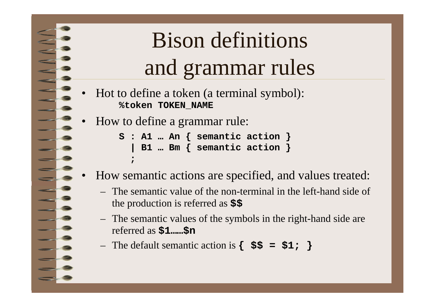# Bison definitions and grammar rules

- • Hot to define a token (a terminal symbol): **%token TOKEN\_NAME**
- •How to define a grammar rule:

**;**

•

**S : A1 … An { semantic action } | B1 … Bm { semantic action }**

- How semantic actions are specified, and values treated:
	- The semantic value of the non-terminal in the left-hand side of the production is referred as **\$\$**
	- The semantic values of the symbols in the right-hand side are referred as **\$1……\$n**
	- The default semantic action is **{ \$\$ = \$1; }**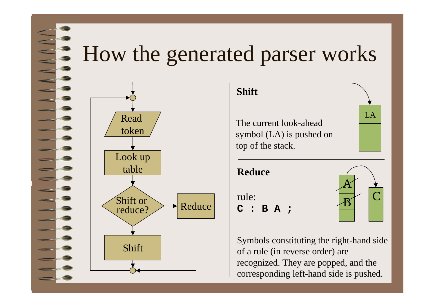#### $\blacktriangleright$  How the generated parser works





**C : B A ;**

rule:



Symbols constituting the right-hand side of a rule (in reverse order) are recognized. They are popped, and the corresponding left-hand side is pushed.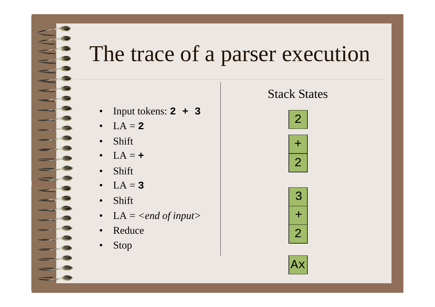#### The trace of a parser execution

#### $\bullet$ Input tokens: **2 + 3**

- $\bullet$  $LA = 2$
- •Shift

- 2

- $\bullet$  $LA = +$
- •Shift
- $\bullet$  $LA = 3$
- •Shift
- LA = *<end of input>*
- $\bullet$ Reduce
- $\bullet$ Stop

#### Stack States







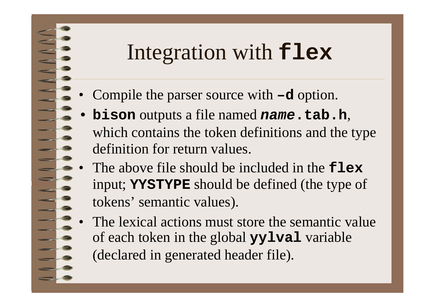#### Integration with **flex**

- •Compile the parser source with **–d** option.
- • **bison** outputs a file named *name***.tab.h**, which contains the token definitions and the type definition for return values.
- • The above file should be included in the **flex**input; **YYSTYPE** should be defined (the type of tokens' semantic values).
- • The lexical actions must store the semantic valueof each token in the global **yylval** variable (declared in generated header file).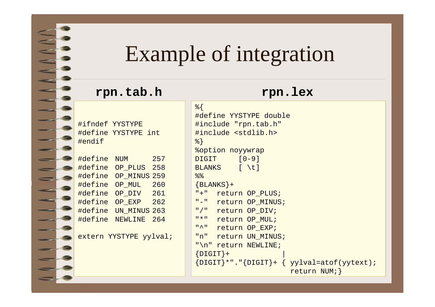#### Example of integration

#### **rpn.tab.h rpn.lex**

#ifndef YYSTYPE #define YYSTYPE int #endif

#define NUM 257 #define OP PLUS 258 #define OP\_MINUS 259 #define OP\_MUL 260 #define OP\_DIV 261 #define OP\_EXP 262 #define UN\_MINUS 263 #define NEWLINE 264

extern YYSTYPE yylval;

%{ #define YYSTYPE double #include "rpn.tab.h" #include <stdlib.h> %} %option noyywrap DIGIT [0-9] BLANKS [ \t]  $%$  $\{BLANKS\}$ + "+" return OP PLUS; "-" return OP\_MINUS; "/" return OP DIV; "\*" return OP\_MUL; "^" return OP\_EXP; "n" return UN MINUS; "\n" return NEWLINE;  $\{$  DIGIT} +  ${DIGIT}$ \*"." ${DIGIT}$ +  ${ yylval=atof(yytext)}$ ; return NUM;}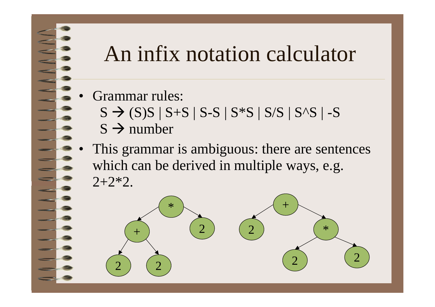#### An infix notation calculator

- • Grammar rules:  $S \to (S)S \mid S+S \mid S-S \mid S*S \mid S/S \mid S\Delta S \mid -S$  $S \rightarrow$  number
- • This grammar is ambiguous: there are sentences which can be derived in multiple ways, e.g.  $2+2*2$ .

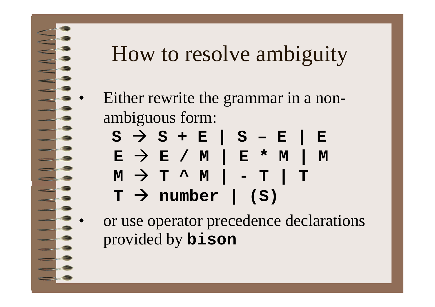### How to resolve ambiguity

- Either rewrite the grammar in a nonambiguous form:
	- **S**  Æ **S + E | S – E | E E**  Æ **E / M | E \* M | M M**  Æ **T ^ M | - T | T T**  Æ **number | (S)**
- or use operator precedence declarations provided by **bison**



•

•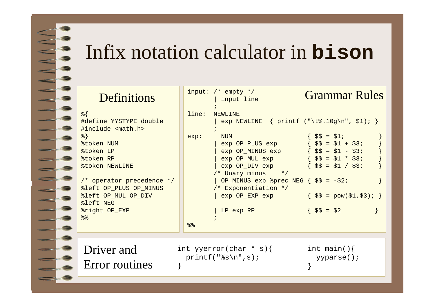#### Infix notation calculator in **bison**

| <b>Definitions</b>                                                                                                                                                                                                                                                                     |               | input: $/*$ empty $*/$<br>input line                                                                                                                                                                                                                                                                                                                                                                                 | <b>Grammar Rules</b>                                                                                                                   |
|----------------------------------------------------------------------------------------------------------------------------------------------------------------------------------------------------------------------------------------------------------------------------------------|---------------|----------------------------------------------------------------------------------------------------------------------------------------------------------------------------------------------------------------------------------------------------------------------------------------------------------------------------------------------------------------------------------------------------------------------|----------------------------------------------------------------------------------------------------------------------------------------|
| $\frac{8}{6}$<br>#define YYSTYPE double<br>#include <math.h><br/><math>\{8\}</math><br/>%token NUM<br/>%token LP<br/>%token RP<br/><b>&amp;token NEWLINE</b><br/>/* operator precedence */<br/>%left OP PLUS OP MINUS<br/>%left OP_MUL OP_DIV<br/>%left NEG<br/>%right OP_EXP</math.h> | line:<br>exp: | <b>NEWLINE</b><br>exp NEWLINE { printf ("\t%.10g\n", \$1); }<br><b>NUM</b><br>exp OP_PLUS exp<br>$exp OP_MINUS exp$ { $$\$ = $1 - $3;$<br>$exp OP_MUL exp$ { $\frac{1}{5}$ = $\frac{1}{5}$ * $\frac{1}{5}$ 3;<br>exp OP_DIV exp<br>/* Unary minus */<br>  OP_MINUS $exp$ \$prec NEG $\{$ \$\$ = -\$2;<br>/* Exponentiation */<br>$\exp$ OP_EXP $\exp$ $\{ \hat{S} = \text{pow}(\hat{S}1, \hat{S}3); \}$<br>LP exp RP | $\frac{1}{2}$ \$ $\frac{1}{2}$ \$ $\frac{1}{2}$ \$ 1 $\frac{1}{2}$<br>$\{\$\$ = \$1 + \$3;$<br>$\{\$\$ = \$1 / \$3;$<br>$\{\$\$ = \$2$ |
| 88                                                                                                                                                                                                                                                                                     | 88            |                                                                                                                                                                                                                                                                                                                                                                                                                      |                                                                                                                                        |
| Driver and<br>Error routines                                                                                                                                                                                                                                                           |               | int yyerror(char * s){<br>$print(f("ss\n'n", s);$                                                                                                                                                                                                                                                                                                                                                                    | int main() $\{$<br>yyparse();                                                                                                          |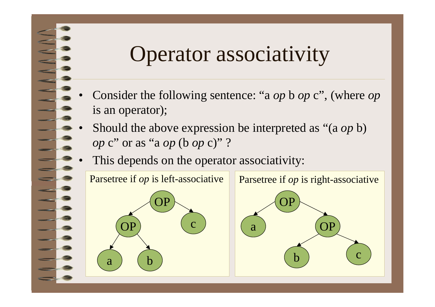#### Operator associativity

- • Consider the following sentence: "a *op* b *op* <sup>c</sup>", (where *op* is an operator);
- • Should the above expression be interpreted as "(a *op* b) *op* <sup>c</sup>" or as "a *op* (b *op* c)" ?
- •This depends on the operator associativity:

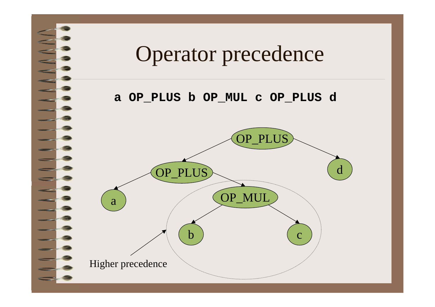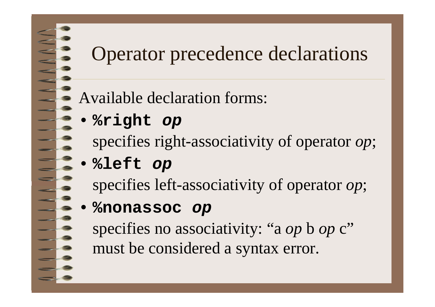#### Operator precedence declarations

Available declaration forms:

- • **%right** *op* specifies right-associativity of operator *op*;
- **%left** *op*
	- specifies left-associativity of operator *op*;

#### •**%nonassoc** *op*

specifies no associativity: "a *op* b *op* c" must be considered a syntax error.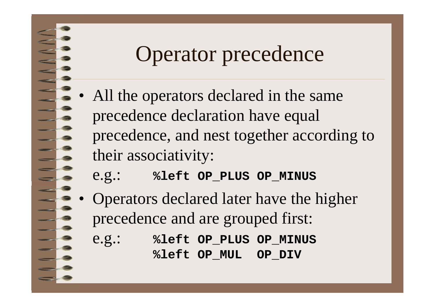#### Operator precedence

- •All the operators declared in the same precedence declaration have equal precedence, and nest together according to their associativity:
	- e.g.: **%left OP\_PLUS OP\_MINUS**
- • Operators declared later have the higher precedence and are grouped first:
	- e.g.: **%left OP\_PLUS OP\_MINUS %left OP\_MUL OP\_DIV**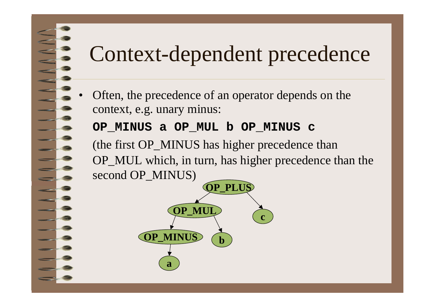# Context-dependent precedence

 Often, the precedence of an operator depends on the context, e.g. unary minus:

#### **OP\_MINUS a OP\_MUL b OP\_MINUS c**

•

(the first OP\_MINUS has higher precedence than OP\_MUL which, in turn, has higher precedence than the second OP\_MINUS)

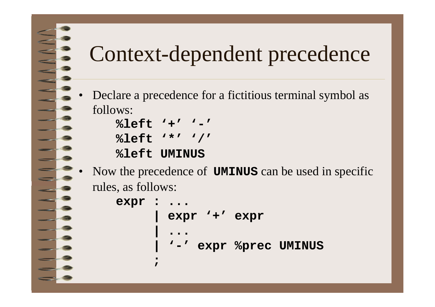# Context-dependent precedence

• Declare a precedence for a fictitious terminal symbol as follows:

```
%left '+' '-' %left '*' '/'
%left UMINUS
```
• Now the precedence of **UMINUS** can be used in specific rules, as follows:

```
expr : ...
        | expr '+' expr
       | ...
             | '-' expr %prec UMINUS
      ;
```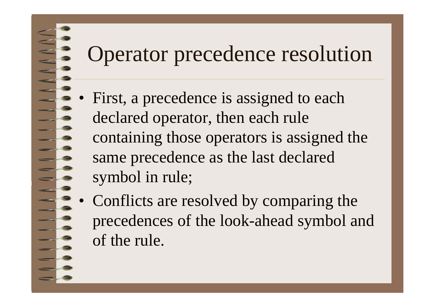### Operator precedence resolution

- • First, a precedence is assigned to each declared operator, then each rule containing those operators is assigned the same precedence as the last declared symbol in rule;
- • Conflicts are resolved by comparing the precedences of the look-ahead symbol and of the rule.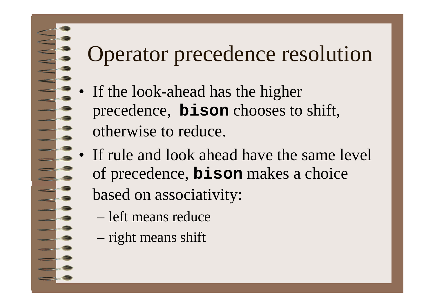## Operator precedence resolution

- If the look-ahead has the higher precedence, **bison** chooses to shift, otherwise to reduce.
- If rule and look ahead have the same level of precedence, **bison** makes <sup>a</sup> choice based on associativity:
	- left means reduce
	- right means shift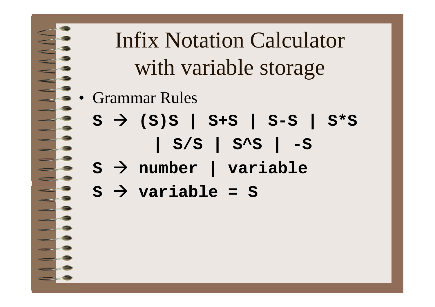# Infix Notation Calculator with variable storage

- Grammar Rules
	- **S**  Æ **(S)S | S+S | S-S | S\*S | S/S | S^S | -S**

$$
s \rightarrow
$$
 number | variable

$$
s \rightarrow
$$
 variable = S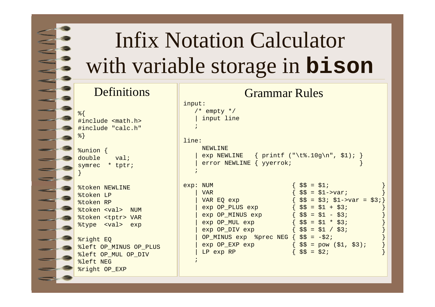## Infix Notation Calculator with variable storage in **bison**

#### Definitions

%{ #include <math.h> #include "calc.h" %}

%union { double val; symrec \* tptr; }

|           | <b>&amp;token NEWLINE</b> |  |
|-----------|---------------------------|--|
| %token LP |                           |  |
| %token RP |                           |  |
|           | %token <val> NUM</val>    |  |
|           | %token <tptr> VAR</tptr>  |  |
|           | type <val> exp</val>      |  |

%right EQ %left OP\_MINUS OP\_PLUS %left OP MUL OP DIV %left NEG %right OP\_EXP

| <b>Grammar Rules</b>                                                                                                                                                                                                                                                                                                                                                                                                                                            |
|-----------------------------------------------------------------------------------------------------------------------------------------------------------------------------------------------------------------------------------------------------------------------------------------------------------------------------------------------------------------------------------------------------------------------------------------------------------------|
|                                                                                                                                                                                                                                                                                                                                                                                                                                                                 |
| exp NEWLINE { printf ("\t%.10g\n", \$1); }                                                                                                                                                                                                                                                                                                                                                                                                                      |
| $55 = 51i$<br>$\frac{1}{2}$ \$\$ = \$1->var;<br>$\{ \$$\} = \$3;\$1->var = \$3;\}$<br>$\begin{cases} \xi \xi = \xi 1 + \xi 3i \end{cases}$<br>$exp OP_MINUS exp$ { $$$ = $1 - $3;$<br>$exp OP_MUL exp$ { $\frac{25}{5} = \frac{1 \times 3}{1}$<br>$\exp$ OP_DIV $\exp$ { $\sin \frac{\pi x}{3}$ = $\sin \frac{\pi x}{3}$ / $\sin \frac{\pi x}{3}$<br>OP_MINUS $exp$ $%prec$ NEG $\{$ $\$$ $\$$ = $-\$2$ ;<br>$\frac{1}{2}$ \$\$ = pow (\$1, \$3);<br>$$5 = $2;$ |
|                                                                                                                                                                                                                                                                                                                                                                                                                                                                 |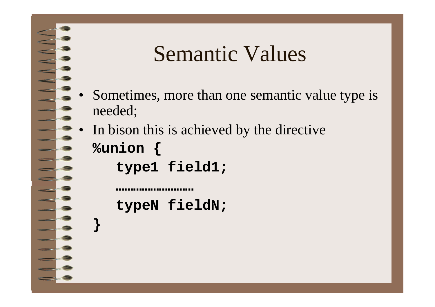#### Semantic Values

- Sometimes, more than one semantic value type is needed;
- • In bison this is achieved by the directive **%union {**

**type1 field1;**

•

**}**

**typeN fieldN;**

**………………………**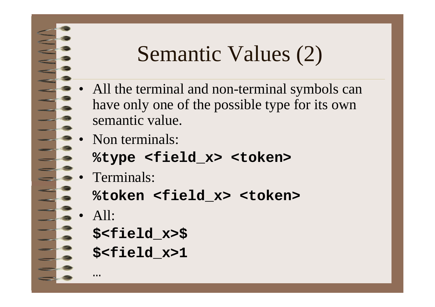#### Semantic Values (2)

- • All the terminal and non-terminal symbols can have only one of the possible type for its own semantic value.
- • Non terminals:
	- **%type <field\_x> <token>**
- • Terminals:
	- **%token <field\_x> <token>**
- •All:

```
$<field_x>$
```

```
$<field_x>1
```
…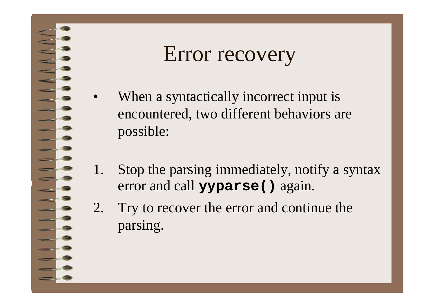#### Error recovery

- •When a syntactically incorrect input is encountered, two different behaviors are possible:
- 1. Stop the parsing immediately, notify a syntax error and call **yyparse()** again.
- 2. Try to recover the error and continue the parsing.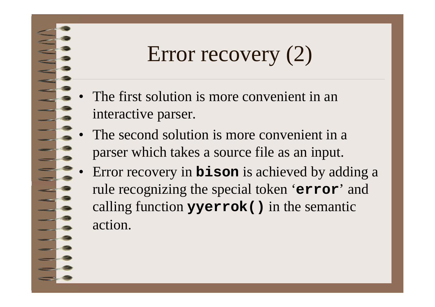## Error recovery (2)

- • The first solution is more convenient in an interactive parser.
- • The second solution is more convenient in a parser which takes a source file as an input.
- • Error recovery in **bison** is achieved by adding a rule recognizing the special token '**error**' and calling function **yyerrok()** in the semantic action.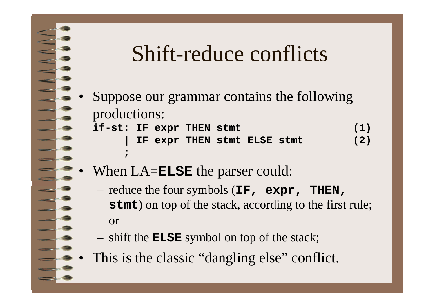#### Shift-reduce conflicts

- • Suppose our grammar contains the following productions: **if-st: IF expr THEN stmt (1)**
	- **| IF expr THEN stmt ELSE stmt (2)**
- •When LA=**ELSE** the parser could:

**;**

- reduce the four symbols (**IF, expr, THEN, stmt**) on top of the stack, according to the first rule; or
- shift the **ELSE** symbol on top of the stack;
- •This is the classic "dangling else" conflict.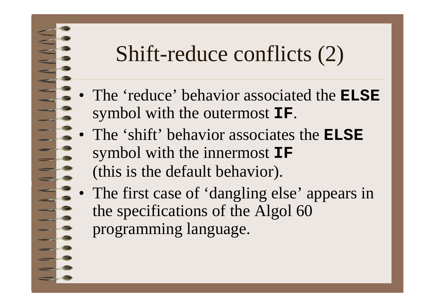### Shift-reduce conflicts (2)

- $\bullet$  The 'reduce' behavior associated the **ELSE**symbol with the outermost **IF**.
- • The 'shift' behavior associates the **ELSE**symbol with the innermost **IF** (this is the default behavior).
- • The first case of 'dangling else' appears in the specifications of the Algol 60 programming language.